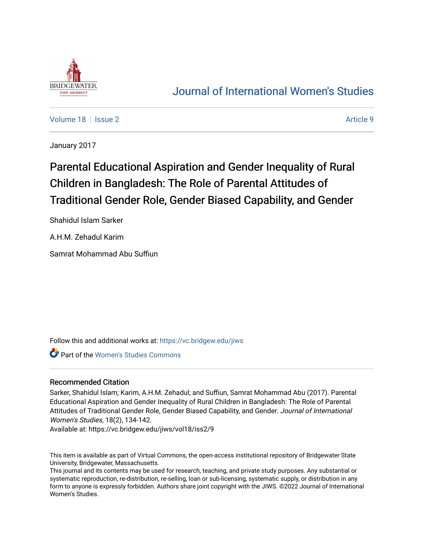

## [Journal of International Women's Studies](https://vc.bridgew.edu/jiws)

[Volume 18](https://vc.bridgew.edu/jiws/vol18) | [Issue 2](https://vc.bridgew.edu/jiws/vol18/iss2) Article 9

January 2017

# Parental Educational Aspiration and Gender Inequality of Rural Children in Bangladesh: The Role of Parental Attitudes of Traditional Gender Role, Gender Biased Capability, and Gender

Shahidul Islam Sarker

A.H.M. Zehadul Karim

Samrat Mohammad Abu Suffiun

Follow this and additional works at: [https://vc.bridgew.edu/jiws](https://vc.bridgew.edu/jiws?utm_source=vc.bridgew.edu%2Fjiws%2Fvol18%2Fiss2%2F9&utm_medium=PDF&utm_campaign=PDFCoverPages)

**Part of the Women's Studies Commons** 

## Recommended Citation

Sarker, Shahidul Islam; Karim, A.H.M. Zehadul; and Suffiun, Samrat Mohammad Abu (2017). Parental Educational Aspiration and Gender Inequality of Rural Children in Bangladesh: The Role of Parental Attitudes of Traditional Gender Role, Gender Biased Capability, and Gender. Journal of International Women's Studies, 18(2), 134-142.

Available at: https://vc.bridgew.edu/jiws/vol18/iss2/9

This item is available as part of Virtual Commons, the open-access institutional repository of Bridgewater State University, Bridgewater, Massachusetts.

This journal and its contents may be used for research, teaching, and private study purposes. Any substantial or systematic reproduction, re-distribution, re-selling, loan or sub-licensing, systematic supply, or distribution in any form to anyone is expressly forbidden. Authors share joint copyright with the JIWS. ©2022 Journal of International Women's Studies.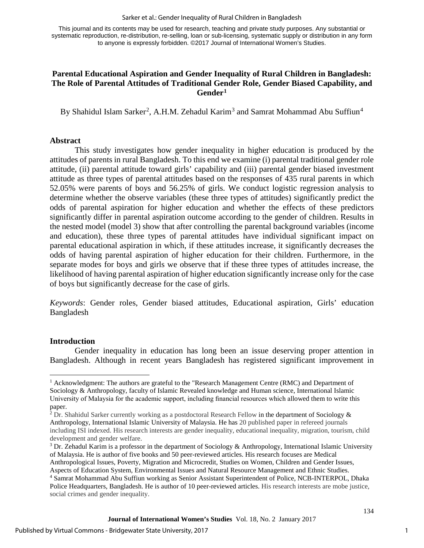#### Sarker et al.: Gender Inequality of Rural Children in Bangladesh

This journal and its contents may be used for research, teaching and private study purposes. Any substantial or systematic reproduction, re-distribution, re-selling, loan or sub-licensing, systematic supply or distribution in any form to anyone is expressly forbidden. ©2017 Journal of International Women's Studies.

## **Parental Educational Aspiration and Gender Inequality of Rural Children in Bangladesh: The Role of Parental Attitudes of Traditional Gender Role, Gender Biased Capability, and Gender[1](#page-1-0)**

By Shahidul Islam Sarker<sup>[2](#page-1-1)</sup>, A.H.M. Zehadul Karim<sup>[3](#page-1-2)</sup> and Samrat Mohammad Abu Suffiun<sup>[4](#page-1-3)</sup>

### **Abstract**

This study investigates how gender inequality in higher education is produced by the attitudes of parents in rural Bangladesh. To this end we examine (i) parental traditional gender role attitude, (ii) parental attitude toward girls' capability and (iii) parental gender biased investment attitude as three types of parental attitudes based on the responses of 435 rural parents in which 52.05% were parents of boys and 56.25% of girls. We conduct logistic regression analysis to determine whether the observe variables (these three types of attitudes) significantly predict the odds of parental aspiration for higher education and whether the effects of these predictors significantly differ in parental aspiration outcome according to the gender of children. Results in the nested model (model 3) show that after controlling the parental background variables (income and education), these three types of parental attitudes have individual significant impact on parental educational aspiration in which, if these attitudes increase, it significantly decreases the odds of having parental aspiration of higher education for their children. Furthermore, in the separate modes for boys and girls we observe that if these three types of attitudes increase, the likelihood of having parental aspiration of higher education significantly increase only for the case of boys but significantly decrease for the case of girls.

*Keywords*: Gender roles, Gender biased attitudes, Educational aspiration, Girls' education Bangladesh

## **Introduction**

 $\overline{\phantom{a}}$ 

Gender inequality in education has long been an issue deserving proper attention in Bangladesh. Although in recent years Bangladesh has registered significant improvement in

<span id="page-1-0"></span><sup>&</sup>lt;sup>1</sup> Acknowledgment: The authors are grateful to the "Research Management Centre (RMC) and Department of Sociology & Anthropology, faculty of Islamic Revealed knowledge and Human science, International Islamic University of Malaysia for the academic support, including financial resources which allowed them to write this paper.

<span id="page-1-1"></span><sup>&</sup>lt;sup>2</sup> Dr. Shahidul Sarker currently working as a postdoctoral Research Fellow in the department of Sociology  $\&$ Anthropology, International Islamic University of Malaysia. He has 20 published paper in refereed journals including ISI indexed. His research interests are gender inequality, educational inequality, migration, tourism, child development and gender welfare.

<span id="page-1-2"></span><sup>&</sup>lt;sup>3</sup> Dr. Zehadul Karim is a professor in the department of Sociology & Anthropology, International Islamic University of Malaysia. He is author of five books and 50 peer-reviewed articles. His research focuses are Medical Anthropological Issues, Poverty, Migration and Microcredit, Studies on Women, Children and Gender Issues,

<span id="page-1-3"></span>Aspects of Education System, Environmental Issues and Natural Resource Management and Ethnic Studies. <sup>4</sup> Samrat Mohammad Abu Suffiun working as Senior Assistant Superintendent of Police, NCB-INTERPOL, Dhaka Police Headquarters, Bangladesh. He is author of 10 peer-reviewed articles. His research interests are mobe justice, social crimes and gender inequality.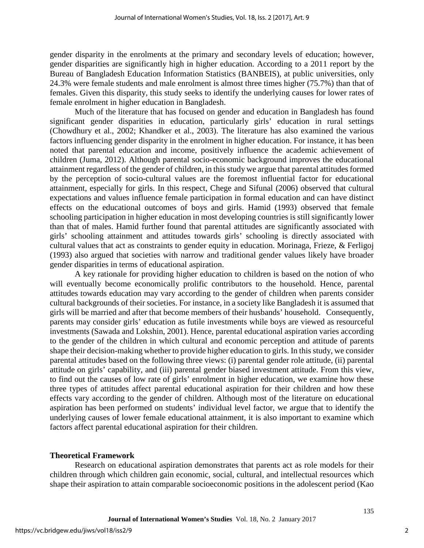gender disparity in the enrolments at the primary and secondary levels of education; however, gender disparities are significantly high in higher education. According to a 2011 report by the Bureau of Bangladesh Education Information Statistics (BANBEIS), at public universities, only 24.3% were female students and male enrolment is almost three times higher (75.7%) than that of females. Given this disparity, this study seeks to identify the underlying causes for lower rates of female enrolment in higher education in Bangladesh.

Much of the literature that has focused on gender and education in Bangladesh has found significant gender disparities in education, particularly girls' education in rural settings (Chowdhury et al., 2002; Khandker et al., 2003). The literature has also examined the various factors influencing gender disparity in the enrolment in higher education. For instance, it has been noted that parental education and income, positively influence the academic achievement of children (Juma, 2012). Although parental socio-economic background improves the educational attainment regardless of the gender of children, in thisstudy we argue that parental attitudes formed by the perception of socio-cultural values are the foremost influential factor for educational attainment, especially for girls. In this respect, Chege and Sifunal (2006) observed that cultural expectations and values influence female participation in formal education and can have distinct effects on the educational outcomes of boys and girls. Hamid (1993) observed that female schooling participation in higher education in most developing countries is still significantly lower than that of males. Hamid further found that parental attitudes are significantly associated with girls' schooling attainment and attitudes towards girls' schooling is directly associated with cultural values that act as constraints to gender equity in education. Morinaga, Frieze, & Ferligoj (1993) also argued that societies with narrow and traditional gender values likely have broader gender disparities in terms of educational aspiration.

A key rationale for providing higher education to children is based on the notion of who will eventually become economically prolific contributors to the household. Hence, parental attitudes towards education may vary according to the gender of children when parents consider cultural backgrounds of their societies. For instance, in a society like Bangladesh it is assumed that girls will be married and after that become members of their husbands' household. Consequently, parents may consider girls' education as futile investments while boys are viewed as resourceful investments (Sawada and Lokshin, 2001). Hence, parental educational aspiration varies according to the gender of the children in which cultural and economic perception and attitude of parents shape their decision-making whether to provide higher education to girls. In this study, we consider parental attitudes based on the following three views: (i) parental gender role attitude, (ii) parental attitude on girls' capability, and (iii) parental gender biased investment attitude. From this view, to find out the causes of low rate of girls' enrolment in higher education, we examine how these three types of attitudes affect parental educational aspiration for their children and how these effects vary according to the gender of children. Although most of the literature on educational aspiration has been performed on students' individual level factor, we argue that to identify the underlying causes of lower female educational attainment, it is also important to examine which factors affect parental educational aspiration for their children.

#### **Theoretical Framework**

Research on educational aspiration demonstrates that parents act as role models for their children through which children gain economic, social, cultural, and intellectual resources which shape their aspiration to attain comparable socioeconomic positions in the adolescent period (Kao

2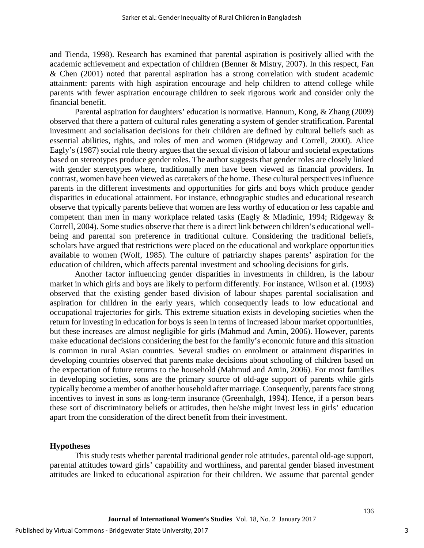and Tienda, 1998). Research has examined that parental aspiration is positively allied with the academic achievement and expectation of children (Benner & Mistry, 2007). In this respect, Fan & Chen (2001) noted that parental aspiration has a strong correlation with student academic attainment: parents with high aspiration encourage and help children to attend college while parents with fewer aspiration encourage children to seek rigorous work and consider only the financial benefit.

Parental aspiration for daughters' education is normative. Hannum, Kong, & Zhang (2009) observed that there a pattern of cultural rules generating a system of gender stratification. Parental investment and socialisation decisions for their children are defined by cultural beliefs such as essential abilities, rights, and roles of men and women (Ridgeway and Correll, 2000). Alice Eagly's (1987) social role theory argues that the sexual division of labour and societal expectations based on stereotypes produce gender roles. The author suggests that gender roles are closely linked with gender stereotypes where, traditionally men have been viewed as financial providers. In contrast, women have been viewed as caretakers of the home. These cultural perspectives influence parents in the different investments and opportunities for girls and boys which produce gender disparities in educational attainment. For instance, ethnographic studies and educational research observe that typically parents believe that women are less worthy of education or less capable and competent than men in many workplace related tasks (Eagly & Mladinic, 1994; Ridgeway & Correll, 2004). Some studies observe that there is a direct link between children's educational wellbeing and parental son preference in traditional culture. Considering the traditional beliefs, scholars have argued that restrictions were placed on the educational and workplace opportunities available to women (Wolf, 1985). The culture of patriarchy shapes parents' aspiration for the education of children, which affects parental investment and schooling decisions for girls.

Another factor influencing gender disparities in investments in children, is the labour market in which girls and boys are likely to perform differently. For instance, Wilson et al. (1993) observed that the existing gender based division of labour shapes parental socialisation and aspiration for children in the early years, which consequently leads to low educational and occupational trajectories for girls. This extreme situation exists in developing societies when the return for investing in education for boys is seen in terms of increased labour market opportunities, but these increases are almost negligible for girls (Mahmud and Amin, 2006). However, parents make educational decisions considering the best for the family's economic future and this situation is common in rural Asian countries. Several studies on enrolment or attainment disparities in developing countries observed that parents make decisions about schooling of children based on the expectation of future returns to the household (Mahmud and Amin, 2006). For most families in developing societies, sons are the primary source of old-age support of parents while girls typically become a member of another household after marriage. Consequently, parents face strong incentives to invest in sons as long-term insurance (Greenhalgh, 1994). Hence, if a person bears these sort of discriminatory beliefs or attitudes, then he/she might invest less in girls' education apart from the consideration of the direct benefit from their investment.

## **Hypotheses**

This study tests whether parental traditional gender role attitudes, parental old-age support, parental attitudes toward girls' capability and worthiness, and parental gender biased investment attitudes are linked to educational aspiration for their children. We assume that parental gender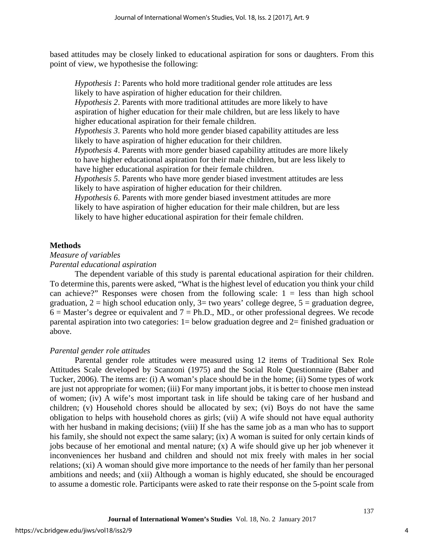based attitudes may be closely linked to educational aspiration for sons or daughters. From this point of view, we hypothesise the following:

*Hypothesis 1*: Parents who hold more traditional gender role attitudes are less likely to have aspiration of higher education for their children. *Hypothesis 2*. Parents with more traditional attitudes are more likely to have aspiration of higher education for their male children, but are less likely to have higher educational aspiration for their female children. *Hypothesis 3*. Parents who hold more gender biased capability attitudes are less likely to have aspiration of higher education for their children. *Hypothesis 4*. Parents with more gender biased capability attitudes are more likely to have higher educational aspiration for their male children, but are less likely to have higher educational aspiration for their female children. *Hypothesis 5*. Parents who have more gender biased investment attitudes are less likely to have aspiration of higher education for their children. *Hypothesis 6*. Parents with more gender biased investment attitudes are more

likely to have aspiration of higher education for their male children, but are less likely to have higher educational aspiration for their female children.

#### **Methods**

## *Measure of variables*

*Parental educational aspiration* 

The dependent variable of this study is parental educational aspiration for their children. To determine this, parents were asked, "What is the highest level of education you think your child can achieve?" Responses were chosen from the following scale:  $1 =$  less than high school graduation,  $2 =$  high school education only,  $3=$  two years' college degree,  $5 =$  graduation degree,  $6 =$  Master's degree or equivalent and  $7 =$  Ph.D., MD., or other professional degrees. We recode parental aspiration into two categories:  $1 =$  below graduation degree and  $2 =$  finished graduation or above.

## *Parental gender role attitudes*

Parental gender role attitudes were measured using 12 items of Traditional Sex Role Attitudes Scale developed by Scanzoni (1975) and the Social Role Questionnaire (Baber and Tucker, 2006). The items are: (i) A woman's place should be in the home; (ii) Some types of work are just not appropriate for women; (iii) For many important jobs, it is better to choose men instead of women; (iv) A wife's most important task in life should be taking care of her husband and children; (v) Household chores should be allocated by sex; (vi) Boys do not have the same obligation to helps with household chores as girls; (vii) A wife should not have equal authority with her husband in making decisions; (viii) If she has the same job as a man who has to support his family, she should not expect the same salary; (ix) A woman is suited for only certain kinds of jobs because of her emotional and mental nature; (x) A wife should give up her job whenever it inconveniences her husband and children and should not mix freely with males in her social relations; (xi) A woman should give more importance to the needs of her family than her personal ambitions and needs; and (xii) Although a woman is highly educated, she should be encouraged to assume a domestic role. Participants were asked to rate their response on the 5-point scale from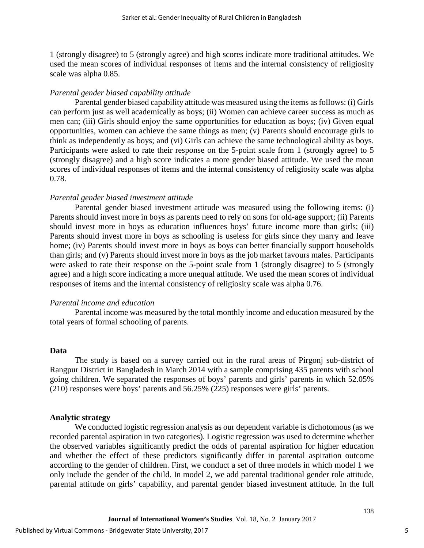1 (strongly disagree) to 5 (strongly agree) and high scores indicate more traditional attitudes. We used the mean scores of individual responses of items and the internal consistency of religiosity scale was alpha 0.85.

#### *Parental gender biased capability attitude*

Parental gender biased capability attitude was measured using the items as follows: (i) Girls can perform just as well academically as boys; (ii) Women can achieve career success as much as men can; (iii) Girls should enjoy the same opportunities for education as boys; (iv) Given equal opportunities, women can achieve the same things as men; (v) Parents should encourage girls to think as independently as boys; and (vi) Girls can achieve the same technological ability as boys. Participants were asked to rate their response on the 5-point scale from 1 (strongly agree) to 5 (strongly disagree) and a high score indicates a more gender biased attitude. We used the mean scores of individual responses of items and the internal consistency of religiosity scale was alpha 0.78.

#### *Parental gender biased investment attitude*

Parental gender biased investment attitude was measured using the following items: (i) Parents should invest more in boys as parents need to rely on sons for old-age support; (ii) Parents should invest more in boys as education influences boys' future income more than girls; (iii) Parents should invest more in boys as schooling is useless for girls since they marry and leave home; (iv) Parents should invest more in boys as boys can better financially support households than girls; and (v) Parents should invest more in boys as the job market favours males. Participants were asked to rate their response on the 5-point scale from 1 (strongly disagree) to 5 (strongly agree) and a high score indicating a more unequal attitude. We used the mean scores of individual responses of items and the internal consistency of religiosity scale was alpha 0.76.

#### *Parental income and education*

Parental income was measured by the total monthly income and education measured by the total years of formal schooling of parents.

#### **Data**

The study is based on a survey carried out in the rural areas of Pirgonj sub-district of Rangpur District in Bangladesh in March 2014 with a sample comprising 435 parents with school going children. We separated the responses of boys' parents and girls' parents in which 52.05% (210) responses were boys' parents and 56.25% (225) responses were girls' parents.

#### **Analytic strategy**

We conducted logistic regression analysis as our dependent variable is dichotomous (as we recorded parental aspiration in two categories). Logistic regression was used to determine whether the observed variables significantly predict the odds of parental aspiration for higher education and whether the effect of these predictors significantly differ in parental aspiration outcome according to the gender of children. First, we conduct a set of three models in which model 1 we only include the gender of the child. In model 2, we add parental traditional gender role attitude, parental attitude on girls' capability, and parental gender biased investment attitude. In the full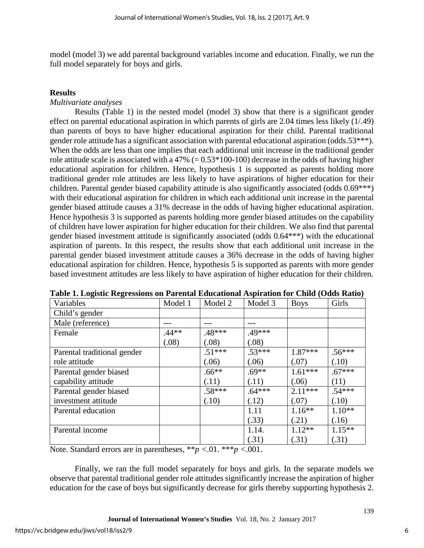model (model 3) we add parental background variables income and education. Finally, we run the full model separately for boys and girls.

## **Results**

## *Multivariate analyses*

Results (Table 1) in the nested model (model 3) show that there is a significant gender effect on parental educational aspiration in which parents of girls are 2.04 times less likely (1/.49) than parents of boys to have higher educational aspiration for their child. Parental traditional gender role attitude has a significant association with parental educational aspiration (odds.53\*\*\*). When the odds are less than one implies that each additional unit increase in the traditional gender role attitude scale is associated with a 47% ( $= 0.53*100-100$ ) decrease in the odds of having higher educational aspiration for children. Hence, hypothesis 1 is supported as parents holding more traditional gender role attitudes are less likely to have aspirations of higher education for their children. Parental gender biased capability attitude is also significantly associated (odds 0.69\*\*\*) with their educational aspiration for children in which each additional unit increase in the parental gender biased attitude causes a 31% decrease in the odds of having higher educational aspiration. Hence hypothesis 3 is supported as parents holding more gender biased attitudes on the capability of children have lower aspiration for higher education for their children. We also find that parental gender biased investment attitude is significantly associated (odds 0.64\*\*\*) with the educational aspiration of parents. In this respect, the results show that each additional unit increase in the parental gender biased investment attitude causes a 36% decrease in the odds of having higher educational aspiration for children. Hence, hypothesis 5 is supported as parents with more gender based investment attitudes are less likely to have aspiration of higher education for their children.

| Variables                   | Model 1 | Model 2  | Model 3  | <b>Boys</b> | Girls     |
|-----------------------------|---------|----------|----------|-------------|-----------|
| Child's gender              |         |          |          |             |           |
| Male (reference)            |         |          |          |             |           |
| Female                      | $.44**$ | .48***   | .49***   |             |           |
|                             | (.08)   | (.08)    | (.08)    |             |           |
| Parental traditional gender |         | $.51***$ | $.53***$ | $1.87***$   | $.56***$  |
| role attitude               |         | (.06)    | (.06)    | (.07)       | (.10)     |
| Parental gender biased      |         | $.66**$  | $.69**$  | $1.61***$   | $.67***$  |
| capability attitude         |         | (.11)    | (.11)    | (.06)       | (11)      |
| Parental gender biased      |         | $.58***$ | $.64***$ | $2.11***$   | $.54***$  |
| investment attitude         |         | (.10)    | (.12)    | (.07)       | (.10)     |
| Parental education          |         |          | 1.11     | $1.16***$   | $1.10**$  |
|                             |         |          | (.33)    | (.21)       | (.16)     |
| Parental income             |         |          | 1.14.    | $1.12**$    | $1.15***$ |
|                             |         |          | (.31)    | (.31)       | (.31)     |

**Table 1. Logistic Regressions on Parental Educational Aspiration for Child (Odds Ratio)**

Note. Standard errors are in parentheses, \*\**p <*.01. \*\*\**p <*.001.

Finally, we ran the full model separately for boys and girls. In the separate models we observe that parental traditional gender role attitudes significantly increase the aspiration of higher education for the case of boys but significantly decrease for girls thereby supporting hypothesis 2.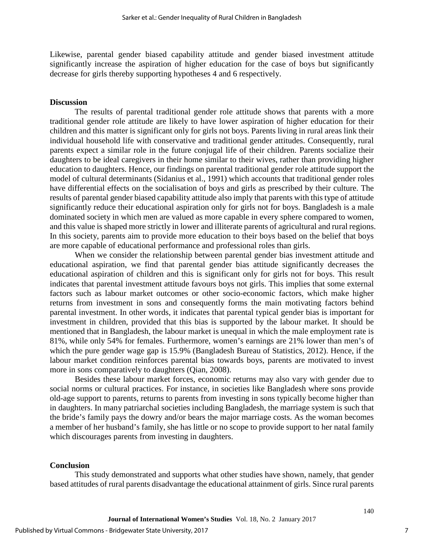Likewise, parental gender biased capability attitude and gender biased investment attitude significantly increase the aspiration of higher education for the case of boys but significantly decrease for girls thereby supporting hypotheses 4 and 6 respectively.

## **Discussion**

The results of parental traditional gender role attitude shows that parents with a more traditional gender role attitude are likely to have lower aspiration of higher education for their children and this matter is significant only for girls not boys. Parents living in rural areas link their individual household life with conservative and traditional gender attitudes. Consequently, rural parents expect a similar role in the future conjugal life of their children. Parents socialize their daughters to be ideal caregivers in their home similar to their wives, rather than providing higher education to daughters. Hence, our findings on parental traditional gender role attitude support the model of cultural determinants (Sidanius et al., 1991) which accounts that traditional gender roles have differential effects on the socialisation of boys and girls as prescribed by their culture. The results of parental gender biased capability attitude also imply that parents with this type of attitude significantly reduce their educational aspiration only for girls not for boys. Bangladesh is a male dominated society in which men are valued as more capable in every sphere compared to women, and this value is shaped more strictly in lower and illiterate parents of agricultural and rural regions. In this society, parents aim to provide more education to their boys based on the belief that boys are more capable of educational performance and professional roles than girls.

When we consider the relationship between parental gender bias investment attitude and educational aspiration, we find that parental gender bias attitude significantly decreases the educational aspiration of children and this is significant only for girls not for boys. This result indicates that parental investment attitude favours boys not girls. This implies that some external factors such as labour market outcomes or other socio-economic factors, which make higher returns from investment in sons and consequently forms the main motivating factors behind parental investment. In other words, it indicates that parental typical gender bias is important for investment in children, provided that this bias is supported by the labour market. It should be mentioned that in Bangladesh, the labour market is unequal in which the male employment rate is 81%, while only 54% for females. Furthermore, women's earnings are 21% lower than men's of which the pure gender wage gap is 15.9% (Bangladesh Bureau of Statistics, 2012). Hence, if the labour market condition reinforces parental bias towards boys, parents are motivated to invest more in sons comparatively to daughters (Qian, 2008).

Besides these labour market forces, economic returns may also vary with gender due to social norms or cultural practices. For instance, in societies like Bangladesh where sons provide old-age support to parents, returns to parents from investing in sons typically become higher than in daughters. In many patriarchal societies including Bangladesh, the marriage system is such that the bride's family pays the dowry and/or bears the major marriage costs. As the woman becomes a member of her husband's family, she has little or no scope to provide support to her natal family which discourages parents from investing in daughters.

#### **Conclusion**

This study demonstrated and supports what other studies have shown, namely, that gender based attitudes of rural parents disadvantage the educational attainment of girls. Since rural parents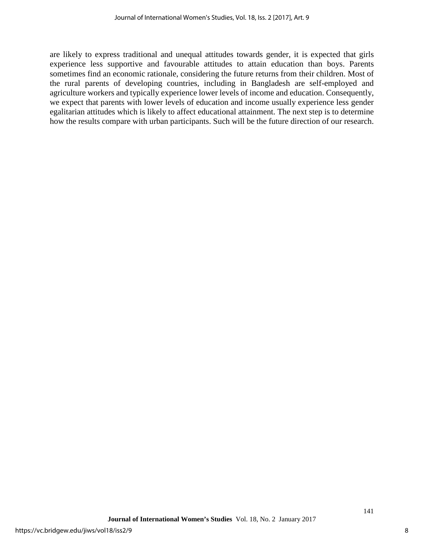are likely to express traditional and unequal attitudes towards gender, it is expected that girls experience less supportive and favourable attitudes to attain education than boys. Parents sometimes find an economic rationale, considering the future returns from their children. Most of the rural parents of developing countries, including in Bangladesh are self-employed and agriculture workers and typically experience lower levels of income and education. Consequently, we expect that parents with lower levels of education and income usually experience less gender egalitarian attitudes which is likely to affect educational attainment. The next step is to determine how the results compare with urban participants. Such will be the future direction of our research.